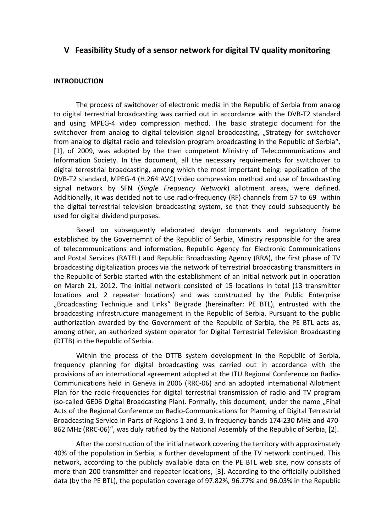## **V Feasibility Study of a sensor network for digital TV quality monitoring**

## **INTRODUCTION**

The process of switchover of electronic media in the Republic of Serbia from analog to digital terrestrial broadcasting was carried out in accordance with the DVB-T2 standard and using MPEG-4 video compression method. The basic strategic document for the switchover from analog to digital television signal broadcasting, "Strategy for switchover from analog to digital radio and television program broadcasting in the Republic of Serbia", [1], of 2009, was adopted by the then competent Ministry of Telecommunications and Information Society. In the document, all the necessary requirements for switchover to digital terrestrial broadcasting, among which the most important being: application of the DVB-T2 standard, MPEG-4 (H.264 AVC) video compression method and use of broadcasting signal network by SFN (*Single Frequency Network*) allotment areas, were defined. Additionally, it was decided not to use radio-frequency (RF) channels from 57 to 69 within the digital terrestrial television broadcasting system, so that they could subsequently be used for digital dividend purposes.

 Based on subsequently elaborated design documents and regulatory frame established by the Governemnt of the Republic of Serbia, Ministry responsible for the area of telecommunications and information, Republic Agency for Electronic Communications and Postal Services (RATEL) and Republic Broadcasting Agency (RRA), the first phase of TV broadcasting digitalization proces via the network of terrestrial broadcasting transmitters in the Republic of Serbia started with the establishment of an initial network put in operation on March 21, 2012. The initial network consisted of 15 locations in total (13 transmitter locations and 2 repeater locations) and was constructed by the Public Enterprise "Broadcasting Technique and Links" Belgrade (hereinafter: PE BTL), entrusted with the broadcasting infrastructure management in the Republic of Serbia. Pursuant to the public authorization awarded by the Government of the Republic of Serbia, the PE BTL acts as, among other, an authorized system operator for Digital Terrestrial Television Broadcasting (DTTB) in the Republic of Serbia.

 Within the process of the DTTB system development in the Republic of Serbia, frequency planning for digital broadcasting was carried out in accordance with the provisions of an international agreement adopted at the ITU Regional Conference on Radio-Communications held in Geneva in 2006 (RRC-06) and an adopted international Allotment Plan for the radio-frequencies for digital terrestrial transmission of radio and TV program (so-called GE06 Digital Broadcasting Plan). Formally, this document, under the name "Final Acts of the Regional Conference on Radio-Communications for Planning of Digital Terrestrial Broadcasting Service in Parts of Regions 1 and 3, in frequency bands 174-230 MHz and 470- 862 MHz (RRC-06)", was duly ratified by the National Assembly of the Republic of Serbia, [2].

 After the construction of the initial network covering the territory with approximately 40% of the population in Serbia, a further development of the TV network continued. This network, according to the publicly available data on the PE BTL web site, now consists of more than 200 transmitter and repeater locations, [3]. According to the officially published data (by the PE BTL), the population coverage of 97.82%, 96.77% and 96.03% in the Republic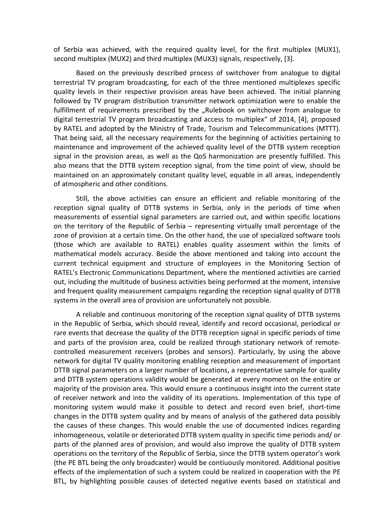of Serbia was achieved, with the required quality level, for the first multiplex (MUX1), second multiplex (MUX2) and third multiplex (MUX3) signals, respectively, [3].

 Based on the previously described process of switchover from analogue to digital terrestrial TV program broadcasting, for each of the three mentioned multiplexes specific quality levels in their respective provision areas have been achieved. The initial planning followed by TV program distribution transmitter network optimization were to enable the fulfillment of requirements prescribed by the "Rulebook on switchover from analogue to digital terrestrial TV program broadcasting and access to multiplex" of 2014, [4], proposed by RATEL and adopted by the Ministry of Trade, Tourism and Telecommunications (MTTT). That being said, all the necessary requirements for the beginning of activities pertaining to maintenance and improvement of the achieved quality level of the DTTB system reception signal in the provision areas, as well as the QoS harmonization are presently fulfilled. This also means that the DTTB system reception signal, from the time point of view, should be maintained on an approximately constant quality level, equable in all areas, independently of atmospheric and other conditions.

 Still, the above activities can ensure an efficient and reliable monitoring of the reception signal quality of DTTB systems in Serbia, only in the periods of time when measurements of essential signal parameters are carried out, and within specific locations on the territory of the Republic of Serbia – representing virtually small percentage of the zone of provision at a certain time. On the other hand, the use of specialized software tools (those which are available to RATEL) enables quality assesment within the limits of mathematical models accuracy. Beside the above mentioned and taking into account the current technical equipment and structure of employees in the Monitoring Section of RATEL's Electronic Communications Department, where the mentioned activities are carried out, including the multitude of business activities being performed at the moment, intensive and frequent quality measurement campaigns regarding the reception signal quality of DTTB systems in the overall area of provision are unfortunately not possible.

 A reliable and continuous monitoring of the reception signal quality of DTTB systems in the Republic of Serbia, which should reveal, identify and record occasional, periodical or rare events that decrease the quality of the DTTB reception signal in specific periods of time and parts of the provision area, could be realized through stationary network of remotecontrolled measurement receivers (probes and sensors). Particularly, by using the above network for digital TV quality monitoring enabling reception and measurement of important DTTB signal parameters on a larger number of locations, a representative sample for quality and DTTB system operations validity would be generated at every moment on the entire or majority of the provision area. This would ensure a continuous insight into the current state of receiver network and into the validity of its operations. Implementation of this type of monitoring system would make it possible to detect and record even brief, short-time changes in the DTTB system quality and by means of analysis of the gathered data possibly the causes of these changes. This would enable the use of documented indices regarding inhomogeneous, volatile or deteriorated DTTB system quality in specific time periods and/ or parts of the planned area of provision, and would also improve the quality of DTTB system operations on the territory of the Republic of Serbia, since the DTTB system operator's work (the PE BTL being the only broadcaster) would be contiuously monitored. Additional positive effects of the implementation of such a system could be realized in cooperation with the PE BTL, by highlighting possible causes of detected negative events based on statistical and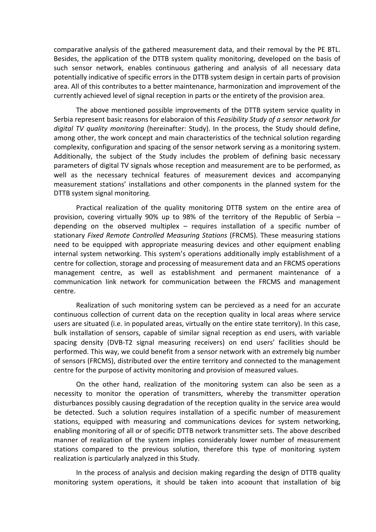comparative analysis of the gathered measurement data, and their removal by the PE BTL. Besides, the application of the DTTB system quality monitoring, developed on the basis of such sensor network, enables continuous gathering and analysis of all necessary data potentially indicative of specific errors in the DTTB system design in certain parts of provision area. All of this contributes to a better maintenance, harmonization and improvement of the currently achieved level of signal reception in parts or the entirety of the provision area.

 The above mentioned possible improvements of the DTTB system service quality in Serbia represent basic reasons for elaboraion of this *Feasibility Study of a sensor network for digital TV quality monitoring* (hereinafter: Study). In the process, the Study should define, among other, the work concept and main characteristics of the technical solution regarding complexity, configuration and spacing of the sensor network serving as a monitoring system. Additionally, the subject of the Study includes the problem of defining basic necessary parameters of digital TV signals whose reception and measurement are to be performed, as well as the necessary technical features of measurement devices and accompanying measurement stations' installations and other components in the planned system for the DTTB system signal monitoring.

 Practical realization of the quality monitoring DTTB system on the entire area of provision, covering virtually 90% up to 98% of the territory of the Republic of Serbia – depending on the observed multiplex – requires installation of a specific number of stationary *Fixed Remote Controlled Measuring Stations* (FRCMS). These measuring stations need to be equipped with appropriate measuring devices and other equipment enabling internal system networking. This system's operations additionally imply establishment of a centre for collection, storage and processing of measurement data and an FRCMS operations management centre, as well as establishment and permanent maintenance of a communication link network for communication between the FRCMS and management centre.

 Realization of such monitoring system can be percieved as a need for an accurate continuous collection of current data on the reception quality in local areas where service users are situated (i.e. in populated areas, virtually on the entire state territory). In this case, bulk installation of sensors, capable of similar signal reception as end users, with variable spacing density (DVB-T2 signal measuring receivers) on end users' facilities should be performed. This way, we could benefit from a sensor network with an extremely big number of sensors (FRCMS), distributed over the entire territory and connected to the management centre for the purpose of activity monitoring and provision of measured values.

 On the other hand, realization of the monitoring system can also be seen as a necessity to monitor the operation of transmitters, whereby the transmitter operation disturbances possibly causing degradation of the reception quality in the service area would be detected. Such a solution requires installation of a specific number of measurement stations, equipped with measuring and communications devices for system networking, enabling monitoring of all or of specific DTTB network transmitter sets. The above described manner of realization of the system implies considerably lower number of measurement stations compared to the previous solution, therefore this type of monitoring system realization is particularly analyzed in this Study.

 In the process of analysis and decision making regarding the design of DTTB quality monitoring system operations, it should be taken into acoount that installation of big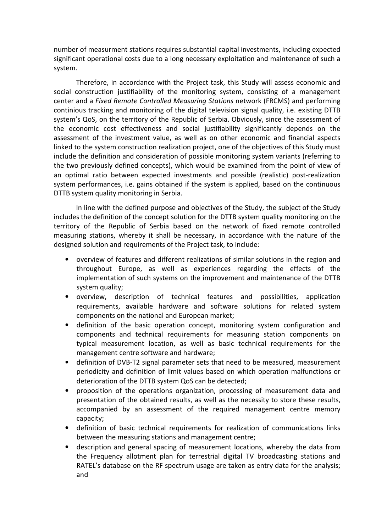number of measurment stations requires substantial capital investments, including expected significant operational costs due to a long necessary exploitation and maintenance of such a system.

 Therefore, in accordance with the Project task, this Study will assess economic and social construction justifiability of the monitoring system, consisting of a management center and a *Fixed Remote Controlled Measuring Stations* network (FRCMS) and performing continious tracking and monitoring of the digital television signal quality, i.e. existing DTTB system's QoS, on the territory of the Republic of Serbia. Obviously, since the assessment of the economic cost effectiveness and social justifiability significantly depends on the assessment of the investment value, as well as on other economic and financial aspects linked to the system construction realization project, one of the objectives of this Study must include the definition and consideration of possible monitoring system variants (referring to the two previously defined concepts), which would be examined from the point of view of an optimal ratio between expected investments and possible (realistic) post-realization system performances, i.e. gains obtained if the system is applied, based on the continuous DTTB system quality monitoring in Serbia.

 In line with the defined purpose and objectives of the Study, the subject of the Study includes the definition of the concept solution for the DTTB system quality monitoring on the territory of the Republic of Serbia based on the network of fixed remote controlled measuring stations, whereby it shall be necessary, in accordance with the nature of the designed solution and requirements of the Project task, to include:

- overview of features and different realizations of similar solutions in the region and throughout Europe, as well as experiences regarding the effects of the implementation of such systems on the improvement and maintenance of the DTTB system quality;
- overview, description of technical features and possibilities, application requirements, available hardware and software solutions for related system components on the national and European market;
- definition of the basic operation concept, monitoring system configuration and components and technical requirements for measuring station components on typical measurement location, as well as basic technical requirements for the management centre software and hardware;
- definition of DVB-T2 signal parameter sets that need to be measured, measurement periodicity and definition of limit values based on which operation malfunctions or deterioration of the DTTB system QoS can be detected;
- proposition of the operations organization, processing of measurement data and presentation of the obtained results, as well as the necessity to store these results, accompanied by an assessment of the required management centre memory capacity;
- definition of basic technical requirements for realization of communications links between the measuring stations and management centre;
- description and general spacing of measurement locations, whereby the data from the Frequency allotment plan for terrestrial digital TV broadcasting stations and RATEL's database on the RF spectrum usage are taken as entry data for the analysis; and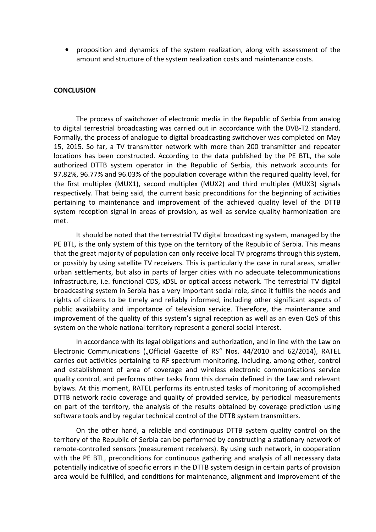• proposition and dynamics of the system realization, along with assessment of the amount and structure of the system realization costs and maintenance costs.

## **CONCLUSION**

 The process of switchover of electronic media in the Republic of Serbia from analog to digital terrestrial broadcasting was carried out in accordance with the DVB-T2 standard. Formally, the process of analogue to digital broadcasting switchover was completed on May 15, 2015. So far, a TV transmitter network with more than 200 transmitter and repeater locations has been constructed. According to the data published by the PE BTL, the sole authorized DTTB system operator in the Republic of Serbia, this network accounts for 97.82%, 96.77% and 96.03% of the population coverage within the required quality level, for the first multiplex (MUX1), second multiplex (MUX2) and third multiplex (MUX3) signals respectively. That being said, the current basic preconditions for the beginning of activities pertaining to maintenance and improvement of the achieved quality level of the DTTB system reception signal in areas of provision, as well as service quality harmonization are met.

 It should be noted that the terrestrial TV digital broadcasting system, managed by the PE BTL, is the only system of this type on the territory of the Republic of Serbia. This means that the great majority of population can only receive local TV programs through this system, or possibly by using satellite TV receivers. This is particularly the case in rural areas, smaller urban settlements, but also in parts of larger cities with no adequate telecommunications infrastructure, i.e. functional CDS, xDSL or optical access network. The terrestrial TV digital broadcasting system in Serbia has a very important social role, since it fulfills the needs and rights of citizens to be timely and reliably informed, including other significant aspects of public availability and importance of television service. Therefore, the maintenance and improvement of the quality of this system's signal reception as well as an even QoS of this system on the whole national territory represent a general social interest.

 In accordance with its legal obligations and authorization, and in line with the Law on Electronic Communications ("Official Gazette of RS" Nos. 44/2010 and 62/2014), RATEL carries out activities pertaining to RF spectrum monitoring, including, among other, control and establishment of area of coverage and wireless electronic communications service quality control, and performs other tasks from this domain defined in the Law and relevant bylaws. At this moment, RATEL performs its entrusted tasks of monitoring of accomplished DTTB network radio coverage and quality of provided service, by periodical measurements on part of the territory, the analysis of the results obtained by coverage prediction using software tools and by regular technical control of the DTTB system transmitters.

 On the other hand, a reliable and continuous DTTB system quality control on the territory of the Republic of Serbia can be performed by constructing a stationary network of remote-controlled sensors (measurement receivers). By using such network, in cooperation with the PE BTL, preconditions for continuous gathering and analysis of all necessary data potentially indicative of specific errors in the DTTB system design in certain parts of provision area would be fulfilled, and conditions for maintenance, alignment and improvement of the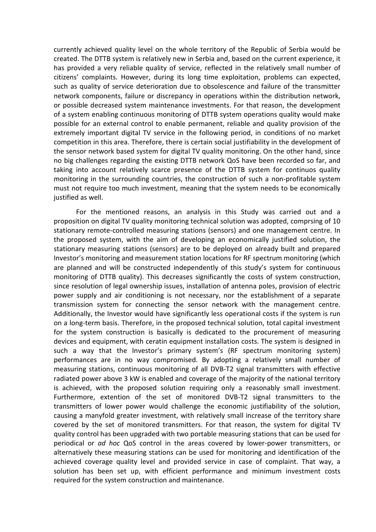currently achieved quality level on the whole territory of the Republic of Serbia would be created. The DTTB system is relatively new in Serbia and, based on the current experience, it has provided a very reliable quality of service, reflected in the relatively small number of citizens' complaints. However, during its long time exploitation, problems can expected, such as quality of service deterioration due to obsolescence and failure of the transmitter network components, failure or discrepancy in operations within the distribution network, or possible decreased system maintenance investments. For that reason, the development of a system enabling continuous monitoring of DTTB system operations quality would make possible for an external control to enable permanent, reliable and quality provision of the extremely important digital TV service in the following period, in conditions of no market competition in this area. Therefore, there is certain social justifiability in the development of the sensor network based system for digital TV quality monitoring. On the other hand, since no big challenges regarding the existing DTTB network QoS have been recorded so far, and taking into account relatively scarce presence of the DTTB system for continuos quality monitoring in the surrounding countries, the construction of such a non-profitable system must not require too much investment, meaning that the system needs to be economically justified as well.

 For the mentioned reasons, an analysis in this Study was carried out and a proposition on digital TV quality monitoring technical solution was adopted, comprsing of 10 stationary remote-controlled measuring stations (sensors) and one management centre. In the proposed system, with the aim of developing an economically justified solution, the stationary measuring stations (sensors) are to be deployed on already built and prepared Investor's monitoring and measurement station locations for RF spectrum monitoring (which are planned and will be constructed independently of this study's system for continuous monitoring of DTTB quality). This decreases significantly the costs of system construction, since resolution of legal ownership issues, installation of antenna poles, provision of electric power supply and air conditioning is not necessary, nor the establishment of a separate transmission system for connecting the sensor network with the management centre. Additionally, the Investor would have significantly less operational costs if the system is run on a long-term basis. Therefore, in the proposed technical solution, total capital investment for the system construction is basically is dedicated to the procurement of measuring devices and equipment, with ceratin equipment installation costs. The system is designed in such a way that the Investor's primary system's (RF spectrum monitoring system) performances are in no way compromised. By adopting a relatively small number of measuring stations, continuous monitoring of all DVB-T2 signal transmitters with effective radiated power above 3 kW is enabled and coverage of the majority of the national territory is achieved, with the proposed solution requiring only a reasonably small investment. Furthermore, extention of the set of monitored DVB-T2 signal transmitters to the transmitters of lower power would challenge the economic justifiability of the solution, causing a manyfold greater investment, with relatively small increase of the territory share covered by the set of monitored transmitters. For that reason, the system for digital TV quality control has been upgraded with two portable measuring stations that can be used for periodical or *ad hoc* QoS control in the areas covered by lower-power transmitters, or alternatively these measuring stations can be used for monitoring and identification of the achieved coverage quality level and provided service in case of complaint. That way, a solution has been set up, with efficient performance and minimum investment costs required for the system construction and maintenance.